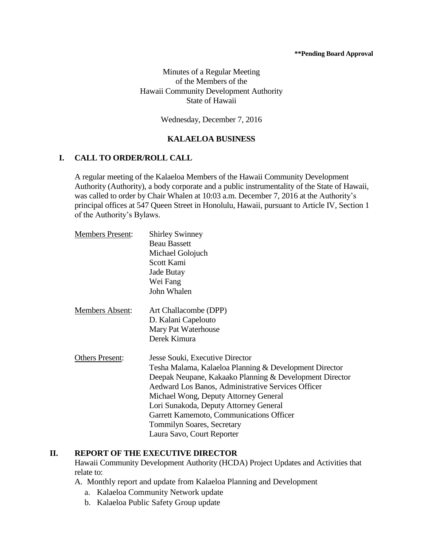#### **\*\*Pending Board Approval**

Minutes of a Regular Meeting of the Members of the Hawaii Community Development Authority State of Hawaii

Wednesday, December 7, 2016

### **KALAELOA BUSINESS**

#### **I. CALL TO ORDER/ROLL CALL**

A regular meeting of the Kalaeloa Members of the Hawaii Community Development Authority (Authority), a body corporate and a public instrumentality of the State of Hawaii, was called to order by Chair Whalen at 10:03 a.m. December 7, 2016 at the Authority's principal offices at 547 Queen Street in Honolulu, Hawaii, pursuant to Article IV, Section 1 of the Authority's Bylaws.

| <b>Members Present:</b> | <b>Shirley Swinney</b>                                  |
|-------------------------|---------------------------------------------------------|
|                         | <b>Beau Bassett</b>                                     |
|                         | Michael Golojuch                                        |
|                         | Scott Kami                                              |
|                         | Jade Butay                                              |
|                         | Wei Fang                                                |
|                         | John Whalen                                             |
| Members Absent:         | Art Challacombe (DPP)                                   |
|                         | D. Kalani Capelouto                                     |
|                         | Mary Pat Waterhouse                                     |
|                         | Derek Kimura                                            |
| <b>Others Present:</b>  | Jesse Souki, Executive Director                         |
|                         | Tesha Malama, Kalaeloa Planning & Development Director  |
|                         | Deepak Neupane, Kakaako Planning & Development Director |
|                         | Aedward Los Banos, Administrative Services Officer      |
|                         | Michael Wong, Deputy Attorney General                   |
|                         | Lori Sunakoda, Deputy Attorney General                  |
|                         | Garrett Kamemoto, Communications Officer                |
|                         | <b>Tommilyn Soares, Secretary</b>                       |
|                         | Laura Savo, Court Reporter                              |

#### **II. REPORT OF THE EXECUTIVE DIRECTOR**

Hawaii Community Development Authority (HCDA) Project Updates and Activities that relate to:

- A. Monthly report and update from Kalaeloa Planning and Development
	- a. Kalaeloa Community Network update
	- b. Kalaeloa Public Safety Group update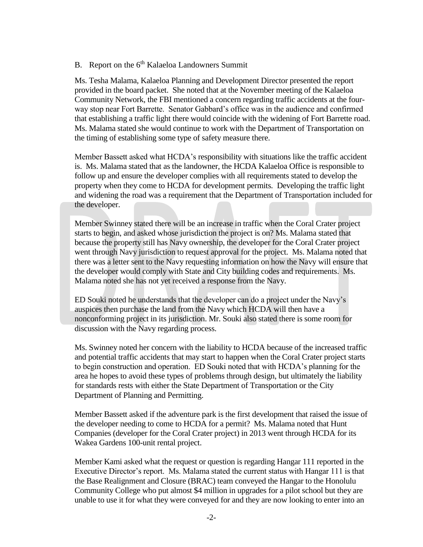#### B. Report on the  $6<sup>th</sup>$  Kalaeloa Landowners Summit

Ms. Tesha Malama, Kalaeloa Planning and Development Director presented the report provided in the board packet. She noted that at the November meeting of the Kalaeloa Community Network, the FBI mentioned a concern regarding traffic accidents at the fourway stop near Fort Barrette. Senator Gabbard's office was in the audience and confirmed that establishing a traffic light there would coincide with the widening of Fort Barrette road. Ms. Malama stated she would continue to work with the Department of Transportation on the timing of establishing some type of safety measure there.

Member Bassett asked what HCDA's responsibility with situations like the traffic accident is. Ms. Malama stated that as the landowner, the HCDA Kalaeloa Office is responsible to follow up and ensure the developer complies with all requirements stated to develop the property when they come to HCDA for development permits. Developing the traffic light and widening the road was a requirement that the Department of Transportation included for the developer.

Member Swinney stated there will be an increase in traffic when the Coral Crater project starts to begin, and asked whose jurisdiction the project is on? Ms. Malama stated that because the property still has Navy ownership, the developer for the Coral Crater project went through Navy jurisdiction to request approval for the project. Ms. Malama noted that there was a letter sent to the Navy requesting information on how the Navy will ensure that the developer would comply with State and City building codes and requirements. Ms. Malama noted she has not yet received a response from the Navy.

ED Souki noted he understands that the developer can do a project under the Navy's auspices then purchase the land from the Navy which HCDA will then have a nonconforming project in its jurisdiction. Mr. Souki also stated there is some room for discussion with the Navy regarding process.

Ms. Swinney noted her concern with the liability to HCDA because of the increased traffic and potential traffic accidents that may start to happen when the Coral Crater project starts to begin construction and operation. ED Souki noted that with HCDA's planning for the area he hopes to avoid these types of problems through design, but ultimately the liability for standards rests with either the State Department of Transportation or the City Department of Planning and Permitting.

Member Bassett asked if the adventure park is the first development that raised the issue of the developer needing to come to HCDA for a permit? Ms. Malama noted that Hunt Companies (developer for the Coral Crater project) in 2013 went through HCDA for its Wakea Gardens 100-unit rental project.

Member Kami asked what the request or question is regarding Hangar 111 reported in the Executive Director's report. Ms. Malama stated the current status with Hangar 111 is that the Base Realignment and Closure (BRAC) team conveyed the Hangar to the Honolulu Community College who put almost \$4 million in upgrades for a pilot school but they are unable to use it for what they were conveyed for and they are now looking to enter into an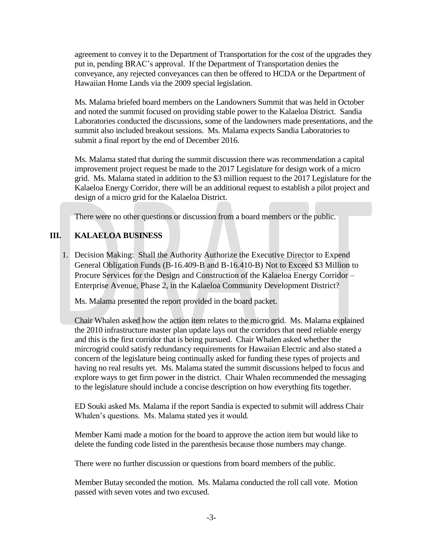agreement to convey it to the Department of Transportation for the cost of the upgrades they put in, pending BRAC's approval. If the Department of Transportation denies the conveyance, any rejected conveyances can then be offered to HCDA or the Department of Hawaiian Home Lands via the 2009 special legislation.

Ms. Malama briefed board members on the Landowners Summit that was held in October and noted the summit focused on providing stable power to the Kalaeloa District. Sandia Laboratories conducted the discussions, some of the landowners made presentations, and the summit also included breakout sessions. Ms. Malama expects Sandia Laboratories to submit a final report by the end of December 2016.

Ms. Malama stated that during the summit discussion there was recommendation a capital improvement project request be made to the 2017 Legislature for design work of a micro grid. Ms. Malama stated in addition to the \$3 million request to the 2017 Legislature for the Kalaeloa Energy Corridor, there will be an additional request to establish a pilot project and design of a micro grid for the Kalaeloa District.

There were no other questions or discussion from a board members or the public.

## **III. KALAELOA BUSINESS**

1. Decision Making: Shall the Authority Authorize the Executive Director to Expend General Obligation Funds (B-16.409-B and B-16.410-B) Not to Exceed \$3 Million to Procure Services for the Design and Construction of the Kalaeloa Energy Corridor – Enterprise Avenue, Phase 2, in the Kalaeloa Community Development District?

Ms. Malama presented the report provided in the board packet.

Chair Whalen asked how the action item relates to the micro grid. Ms. Malama explained the 2010 infrastructure master plan update lays out the corridors that need reliable energy and this is the first corridor that is being pursued. Chair Whalen asked whether the mircrogrid could satisfy redundancy requirements for Hawaiian Electric and also stated a concern of the legislature being continually asked for funding these types of projects and having no real results yet. Ms. Malama stated the summit discussions helped to focus and explore ways to get firm power in the district. Chair Whalen recommended the messaging to the legislature should include a concise description on how everything fits together.

ED Souki asked Ms. Malama if the report Sandia is expected to submit will address Chair Whalen's questions. Ms. Malama stated yes it would.

Member Kami made a motion for the board to approve the action item but would like to delete the funding code listed in the parenthesis because those numbers may change.

There were no further discussion or questions from board members of the public.

Member Butay seconded the motion. Ms. Malama conducted the roll call vote. Motion passed with seven votes and two excused.